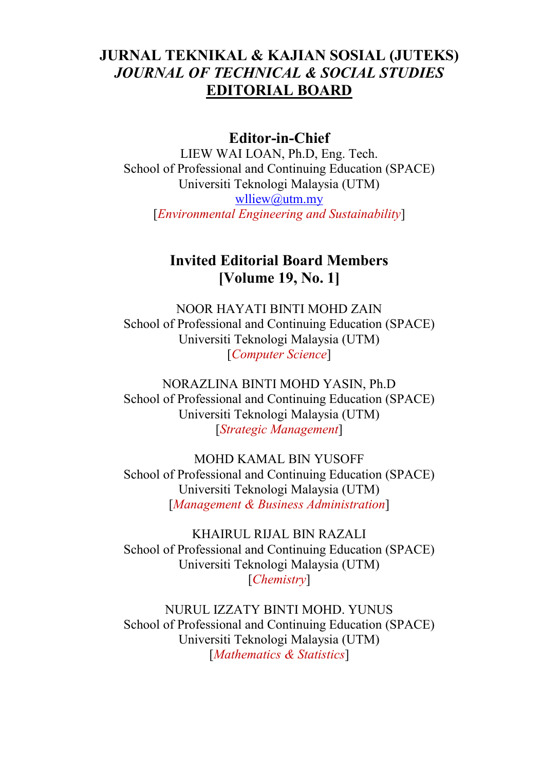## **JURNAL TEKNIKAL & KAJIAN SOSIAL (JUTEKS)** *JOURNAL OF TECHNICAL & SOCIAL STUDIES* **EDITORIAL BOARD**

### **Editor-in-Chief**

LIEW WAI LOAN, Ph.D, Eng. Tech. School of Professional and Continuing Education (SPACE) Universiti Teknologi Malaysia (UTM) [wlliew@utm.my](mailto:wlliew@utm.my) [*Environmental Engineering and Sustainability*]

### **Invited Editorial Board Members [Volume 19, No. 1]**

NOOR HAYATI BINTI MOHD ZAIN School of Professional and Continuing Education (SPACE) Universiti Teknologi Malaysia (UTM) [*Computer Science*]

NORAZLINA BINTI MOHD YASIN, Ph.D School of Professional and Continuing Education (SPACE) Universiti Teknologi Malaysia (UTM) [*Strategic Management*]

MOHD KAMAL BIN YUSOFF School of Professional and Continuing Education (SPACE) Universiti Teknologi Malaysia (UTM) [*Management & Business Administration*]

KHAIRUL RIJAL BIN RAZALI School of Professional and Continuing Education (SPACE) Universiti Teknologi Malaysia (UTM) [*Chemistry*]

NURUL IZZATY BINTI MOHD. YUNUS School of Professional and Continuing Education (SPACE) Universiti Teknologi Malaysia (UTM) [*Mathematics & Statistics*]